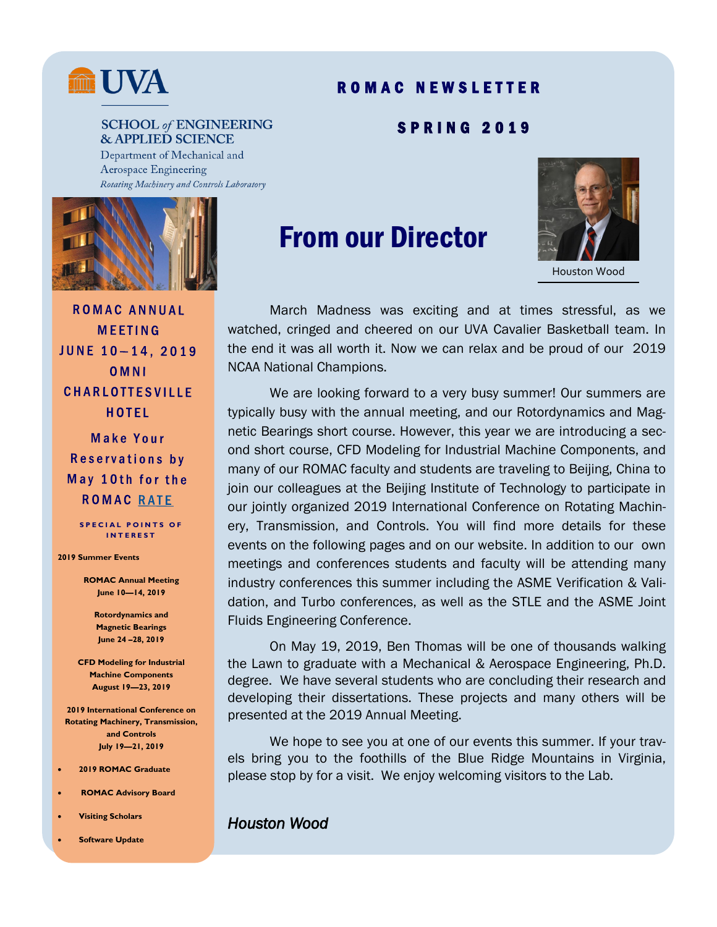

# R O M A C N E W S L E T T E R

S P R I N G 2 0 1 9

#### **SCHOOL of ENGINEERING & APPLIED SCIENCE**

Department of Mechanical and Aerospace Engineering Rotating Machinery and Controls Laboratory



**ROMAC ANNUAL MEETING** JUNE 10-14, 2019 OMNI **CHARLOTTESVILLE** HOTEL

Make Your Reservations by May 10th for the **ROMAC RATE** 

**SPECIAL POINTS OF I N T E R E S T**

**2019 Summer Events** 

**ROMAC Annual Meeting June 10—14, 2019**

> **Rotordynamics and Magnetic Bearings June 24 –28, 2019**

**CFD Modeling for Industrial Machine Components August 19—23, 2019**

**2019 International Conference on Rotating Machinery, Transmission, and Controls July 19—21, 2019** 

- **2019 ROMAC Graduate**
- **ROMAC Advisory Board**
- **Visiting Scholars**
- **Software Update**

# From our Director



Houston Wood

March Madness was exciting and at times stressful, as we watched, cringed and cheered on our UVA Cavalier Basketball team. In the end it was all worth it. Now we can relax and be proud of our 2019 NCAA National Champions.

We are looking forward to a very busy summer! Our summers are typically busy with the annual meeting, and our Rotordynamics and Magnetic Bearings short course. However, this year we are introducing a second short course, CFD Modeling for Industrial Machine Components, and many of our ROMAC faculty and students are traveling to Beijing, China to join our colleagues at the Beijing Institute of Technology to participate in our jointly organized 2019 International Conference on Rotating Machinery, Transmission, and Controls. You will find more details for these events on the following pages and on our website. In addition to our own meetings and conferences students and faculty will be attending many industry conferences this summer including the ASME Verification & Validation, and Turbo conferences, as well as the STLE and the ASME Joint Fluids Engineering Conference.

On May 19, 2019, Ben Thomas will be one of thousands walking the Lawn to graduate with a Mechanical & Aerospace Engineering, Ph.D. degree. We have several students who are concluding their research and developing their dissertations. These projects and many others will be presented at the 2019 Annual Meeting.

We hope to see you at one of our events this summer. If your travels bring you to the foothills of the Blue Ridge Mountains in Virginia, please stop by for a visit. We enjoy welcoming visitors to the Lab.

#### *Houston Wood*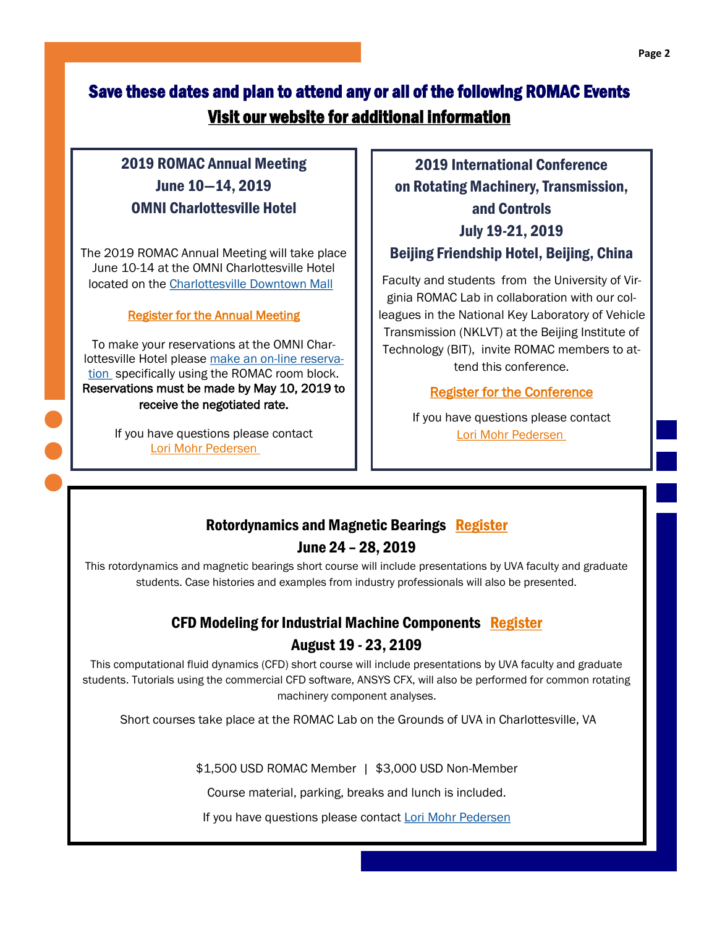# Save these dates and plan to attend any or all of the following ROMAC Events [Visit our website for additional information](https://pages.shanti.virginia.edu/romac/)

# 2019 ROMAC Annual Meeting June 10—14, 2019 OMNI Charlottesville Hotel

The 2019 ROMAC Annual Meeting will take place June 10-14 at the OMNI Charlottesville Hotel located on the [Charlottesville Downtown Mall](https://www.downtowncharlottesville.com/) 

#### [Register for the Annual Meeting](https://docs.google.com/forms/d/e/1FAIpQLSc7PS1icT6hrGYi6Is8xCLGPkF-MhCogPQZeRvt4QChkuNDcA/viewform)

To make your reservations at the OMNI Charlottesville Hotel please make an [on-line reserva](https://www.omnihotels.com/hotels/charlottesville/meetings/uva-mechanical-engineering-group-2019)[tion](https://www.omnihotels.com/hotels/charlottesville/meetings/uva-mechanical-engineering-group-2019) specifically using the ROMAC room block. Reservations must be made by May 10, 2019 to receive the negotiated rate.

> If you have questions please contact [Lori Mohr Pedersen](mailto:llmp3t@virginia.edu)

2019 International Conference on Rotating Machinery, Transmission, and Controls July 19-21, 2019 Beijing Friendship Hotel, Beijing, China

Faculty and students from the University of Virginia ROMAC Lab in collaboration with our colleagues in the National Key Laboratory of Vehicle Transmission (NKLVT) at the Beijing Institute of Technology (BIT), invite ROMAC members to attend this conference.

#### [Register for the Conference](https://docs.google.com/forms/d/e/1FAIpQLSfL_Aee6_CzZd6kzc5zi7ezXDgHgijFLOuTxWsA_L25Qk-XlQ/viewform)

If you have questions please contact [Lori Mohr Pedersen](mailto:llmp3t@virginia.edu)

# Rotordynamics and Magnetic Bearings [Register](https://docs.google.com/forms/d/e/1FAIpQLScKuh_b1-BKKfnWrWXU9f6XnROf_Xoi96cP6xr3bQivqIreCQ/viewform)

#### June 24 – 28, 2019

This rotordynamics and magnetic bearings short course will include presentations by UVA faculty and graduate students. Case histories and examples from industry professionals will also be presented.

# CFD Modeling for Industrial Machine Components [Register](https://docs.google.com/forms/d/e/1FAIpQLScKuh_b1-BKKfnWrWXU9f6XnROf_Xoi96cP6xr3bQivqIreCQ/viewform) August 19 - 23, 2109

This computational fluid dynamics (CFD) short course will include presentations by UVA faculty and graduate students. Tutorials using the commercial CFD software, ANSYS CFX, will also be performed for common rotating machinery component analyses.

Short courses take place at the ROMAC Lab on the Grounds of UVA in Charlottesville, VA

\$1,500 USD ROMAC Member | \$3,000 USD Non-Member

Course material, parking, breaks and lunch is included.

If you have questions please contact [Lori Mohr Pedersen](mailto:lamp@virginia.edu)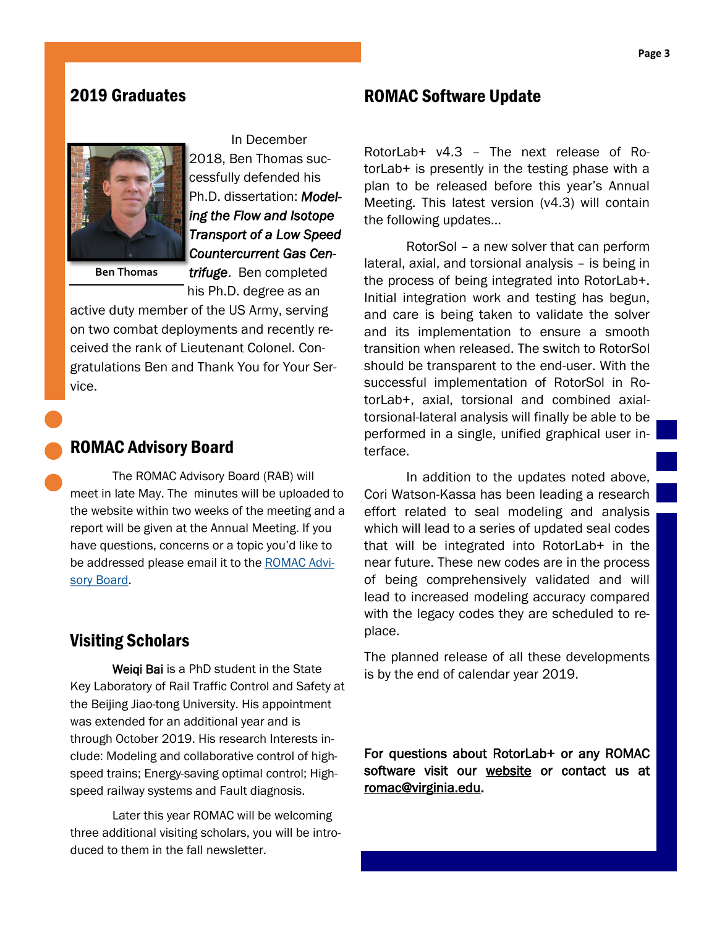#### 2019 Graduates



In December

2018, Ben Thomas successfully defended his Ph.D. dissertation: *Modeling the Flow and Isotope Transport of a Low Speed Countercurrent Gas Cen-*

**Ben Thomas** 

*trifuge*. Ben completed his Ph.D. degree as an

active duty member of the US Army, serving on two combat deployments and recently received the rank of Lieutenant Colonel. Congratulations Ben and Thank You for Your Service.

#### ROMAC Advisory Board

The ROMAC Advisory Board (RAB) will meet in late May. The minutes will be uploaded to the website within two weeks of the meeting and a report will be given at the Annual Meeting. If you have questions, concerns or a topic you'd like to be addressed please email it to the [ROMAC Advi](mailto:romacadvisoryboard@virginia.edu)[sory Board.](mailto:romacadvisoryboard@virginia.edu)

# Visiting Scholars

Weiqi Bai is a PhD student in the State Key Laboratory of Rail Traffic Control and Safety at the Beijing Jiao-tong University. His appointment was extended for an additional year and is through October 2019. His research Interests include: Modeling and collaborative control of highspeed trains; Energy-saving optimal control; Highspeed railway systems and Fault diagnosis.

Later this year ROMAC will be welcoming three additional visiting scholars, you will be introduced to them in the fall newsletter.

#### ROMAC Software Update

RotorLab+ v4.3 – The next release of RotorLab+ is presently in the testing phase with a plan to be released before this year's Annual Meeting. This latest version (v4.3) will contain the following updates…

RotorSol – a new solver that can perform lateral, axial, and torsional analysis – is being in the process of being integrated into RotorLab+. Initial integration work and testing has begun, and care is being taken to validate the solver and its implementation to ensure a smooth transition when released. The switch to RotorSol should be transparent to the end-user. With the successful implementation of RotorSol in RotorLab+, axial, torsional and combined axialtorsional-lateral analysis will finally be able to be performed in a single, unified graphical user interface.

In addition to the updates noted above, Cori Watson-Kassa has been leading a research effort related to seal modeling and analysis which will lead to a series of updated seal codes that will be integrated into RotorLab+ in the near future. These new codes are in the process of being comprehensively validated and will lead to increased modeling accuracy compared with the legacy codes they are scheduled to replace.

The planned release of all these developments is by the end of calendar year 2019.

For questions about RotorLab+ or any ROMAC software visit our [website o](https://pages.shanti.virginia.edu/romac/)r contact us at [romac@virginia.edu.](mailto:romac@virginia.edu)